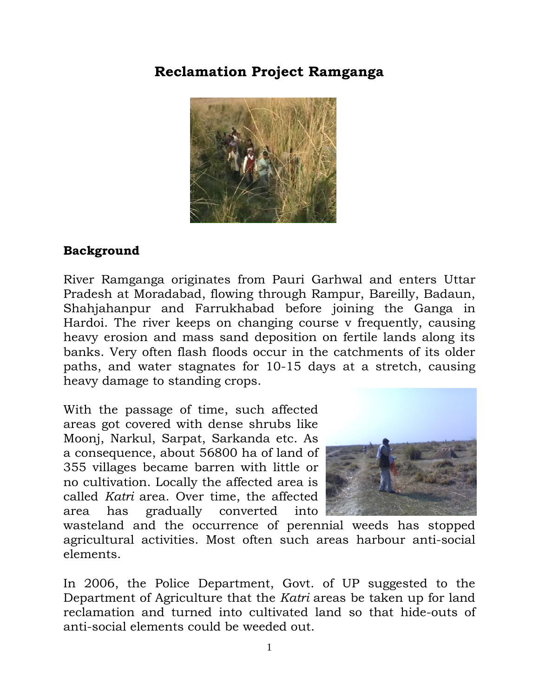## **Reclamation Project Ramganga**



## **Background**

River Ramganga originates from Pauri Garhwal and enters Uttar Pradesh at Moradabad, flowing through Rampur, Bareilly, Badaun, Shahjahanpur and Farrukhabad before joining the Ganga in Hardoi. The river keeps on changing course v frequently, causing heavy erosion and mass sand deposition on fertile lands along its banks. Very often flash floods occur in the catchments of its older paths, and water stagnates for 10-15 days at a stretch, causing heavy damage to standing crops.

With the passage of time, such affected areas got covered with dense shrubs like Moonj, Narkul, Sarpat, Sarkanda etc. As a consequence, about 56800 ha of land of 355 villages became barren with little or no cultivation. Locally the affected area is called *Katri* area. Over time, the affected area has gradually converted into



wasteland and the occurrence of perennial weeds has stopped agricultural activities. Most often such areas harbour anti-social elements.

In 2006, the Police Department, Govt. of UP suggested to the Department of Agriculture that the *Katri* areas be taken up for land reclamation and turned into cultivated land so that hide-outs of anti-social elements could be weeded out.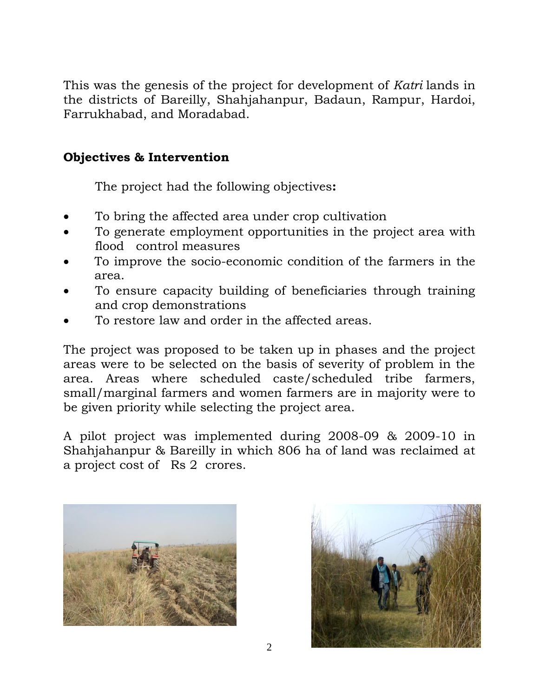This was the genesis of the project for development of *Katri* lands in the districts of Bareilly, Shahjahanpur, Badaun, Rampur, Hardoi, Farrukhabad, and Moradabad.

## **Objectives & Intervention**

The project had the following objectives**:** 

- To bring the affected area under crop cultivation
- To generate employment opportunities in the project area with flood control measures
- To improve the socio-economic condition of the farmers in the area.
- To ensure capacity building of beneficiaries through training and crop demonstrations
- To restore law and order in the affected areas.

The project was proposed to be taken up in phases and the project areas were to be selected on the basis of severity of problem in the area. Areas where scheduled caste/scheduled tribe farmers, small/marginal farmers and women farmers are in majority were to be given priority while selecting the project area.

A pilot project was implemented during 2008-09 & 2009-10 in Shahjahanpur & Bareilly in which 806 ha of land was reclaimed at a project cost of Rs 2 crores.



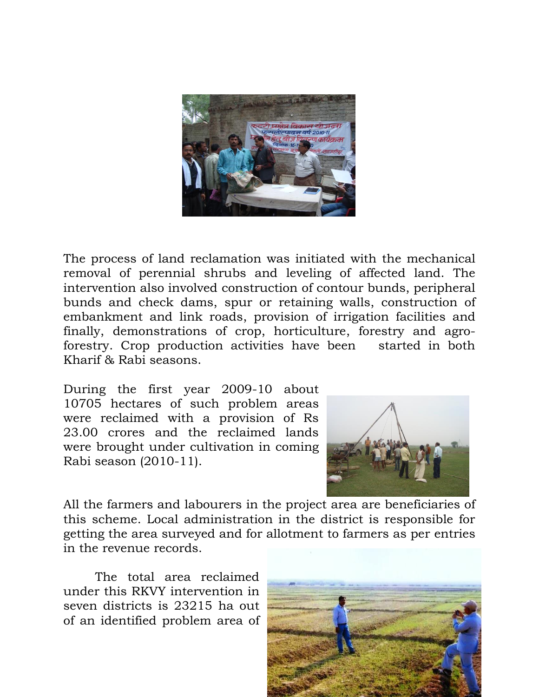

The process of land reclamation was initiated with the mechanical removal of perennial shrubs and leveling of affected land. The intervention also involved construction of contour bunds, peripheral bunds and check dams, spur or retaining walls, construction of embankment and link roads, provision of irrigation facilities and finally, demonstrations of crop, horticulture, forestry and agroforestry. Crop production activities have been started in both Kharif & Rabi seasons.

During the first year 2009-10 about 10705 hectares of such problem areas were reclaimed with a provision of Rs 23.00 crores and the reclaimed lands were brought under cultivation in coming Rabi season (2010-11).



All the farmers and labourers in the project area are beneficiaries of this scheme. Local administration in the district is responsible for getting the area surveyed and for allotment to farmers as per entries in the revenue records.

The total area reclaimed under this RKVY intervention in seven districts is 23215 ha out of an identified problem area of